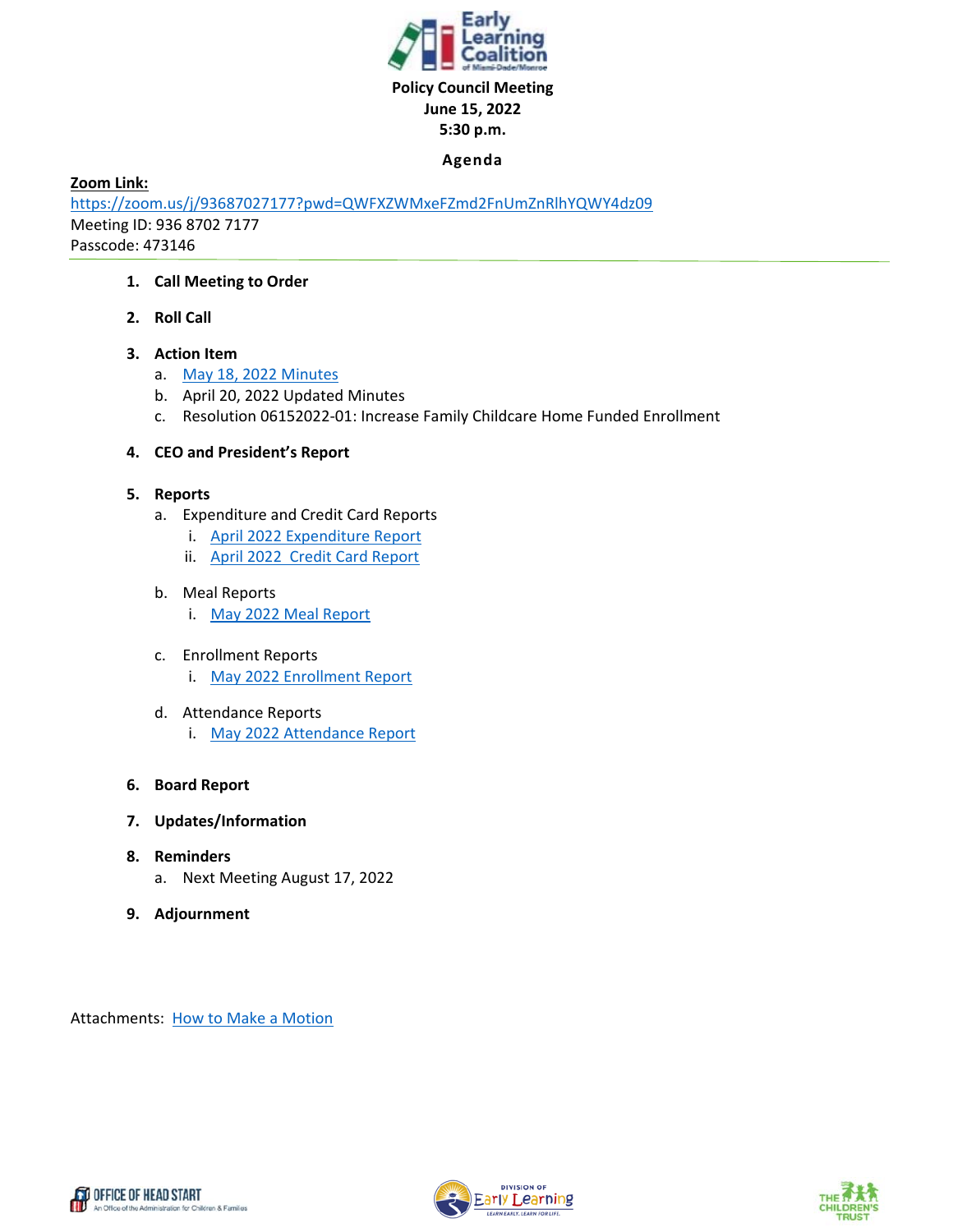

#### **Agenda**

**Zoom Link:** 

https://zoom.us/j/93687027177?pwd=QWFXZWMxeFZmd2FnUmZnRlhYQWY4dz09 Meeting ID: 936 8702 7177 Passcode: 473146

#### **1. Call Meeting to Order**

**2. Roll Call** 

#### **3. Action Item**

- a. May 18, 2022 Minutes
- b. April 20, 2022 Updated Minutes
- c. Resolution 06152022‐01: Increase Family Childcare Home Funded Enrollment

#### **4. CEO and President's Report**

- **5. Reports** 
	- a. Expenditure and Credit Card Reports
		- i. April 2022 Expenditure Report
		- ii. April 2022 Credit Card Report

#### b. Meal Reports

- i. May 2022 Meal Report
- c. Enrollment Reports
	- i. May 2022 Enrollment Report
- d. Attendance Reports i. May 2022 Attendance Report

#### **6. Board Report**

- **7. Updates/Information**
- **8. Reminders** 
	- a. Next Meeting August 17, 2022
- **9. Adjournment**

Attachments: How to Make a Motion





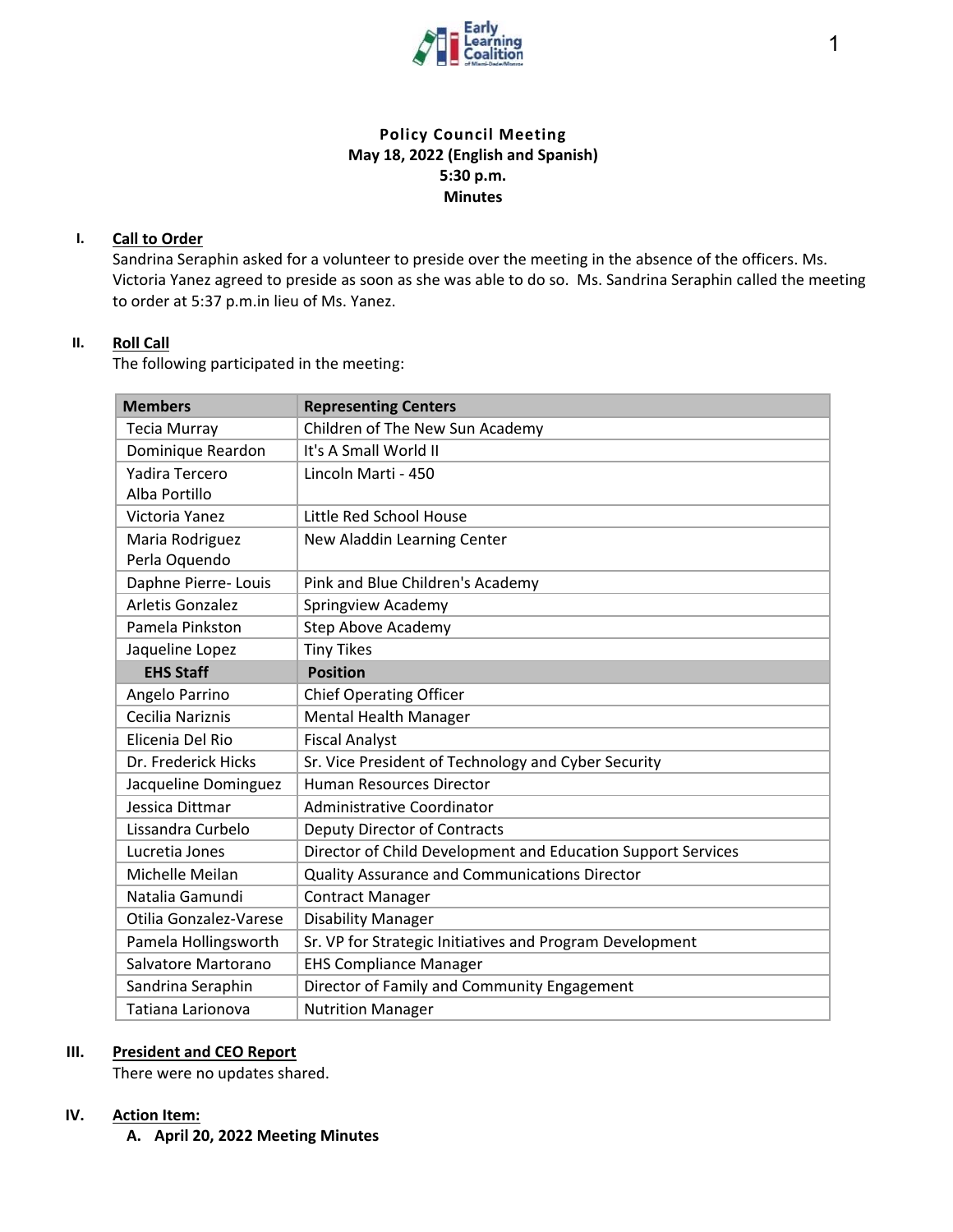

# **Policy Council Meeting May 18, 2022 (English and Spanish) 5:30 p.m. Minutes**

#### **I. Call to Order**

Sandrina Seraphin asked for a volunteer to preside over the meeting in the absence of the officers. Ms. Victoria Yanez agreed to preside as soon as she was able to do so. Ms. Sandrina Seraphin called the meeting to order at 5:37 p.m.in lieu of Ms. Yanez.

# **II. Roll Call**

The following participated in the meeting:

| <b>Members</b>          | <b>Representing Centers</b>                                  |
|-------------------------|--------------------------------------------------------------|
| <b>Tecia Murray</b>     | Children of The New Sun Academy                              |
| Dominique Reardon       | It's A Small World II                                        |
| Yadira Tercero          | Lincoln Marti - 450                                          |
| Alba Portillo           |                                                              |
| Victoria Yanez          | Little Red School House                                      |
| Maria Rodriguez         | New Aladdin Learning Center                                  |
| Perla Oquendo           |                                                              |
| Daphne Pierre- Louis    | Pink and Blue Children's Academy                             |
| <b>Arletis Gonzalez</b> | Springview Academy                                           |
| Pamela Pinkston         | <b>Step Above Academy</b>                                    |
| Jaqueline Lopez         | <b>Tiny Tikes</b>                                            |
| <b>EHS Staff</b>        | <b>Position</b>                                              |
| Angelo Parrino          | <b>Chief Operating Officer</b>                               |
| Cecilia Nariznis        | <b>Mental Health Manager</b>                                 |
| Elicenia Del Rio        | <b>Fiscal Analyst</b>                                        |
| Dr. Frederick Hicks     | Sr. Vice President of Technology and Cyber Security          |
| Jacqueline Dominguez    | <b>Human Resources Director</b>                              |
| Jessica Dittmar         | Administrative Coordinator                                   |
| Lissandra Curbelo       | <b>Deputy Director of Contracts</b>                          |
| Lucretia Jones          | Director of Child Development and Education Support Services |
| Michelle Meilan         | <b>Quality Assurance and Communications Director</b>         |
| Natalia Gamundi         | <b>Contract Manager</b>                                      |
| Otilia Gonzalez-Varese  | <b>Disability Manager</b>                                    |
| Pamela Hollingsworth    | Sr. VP for Strategic Initiatives and Program Development     |
| Salvatore Martorano     | <b>EHS Compliance Manager</b>                                |
| Sandrina Seraphin       | Director of Family and Community Engagement                  |
| Tatiana Larionova       | <b>Nutrition Manager</b>                                     |

#### **III. President and CEO Report**

There were no updates shared.

#### **IV. Action Item:**

**A. April 20, 2022 Meeting Minutes**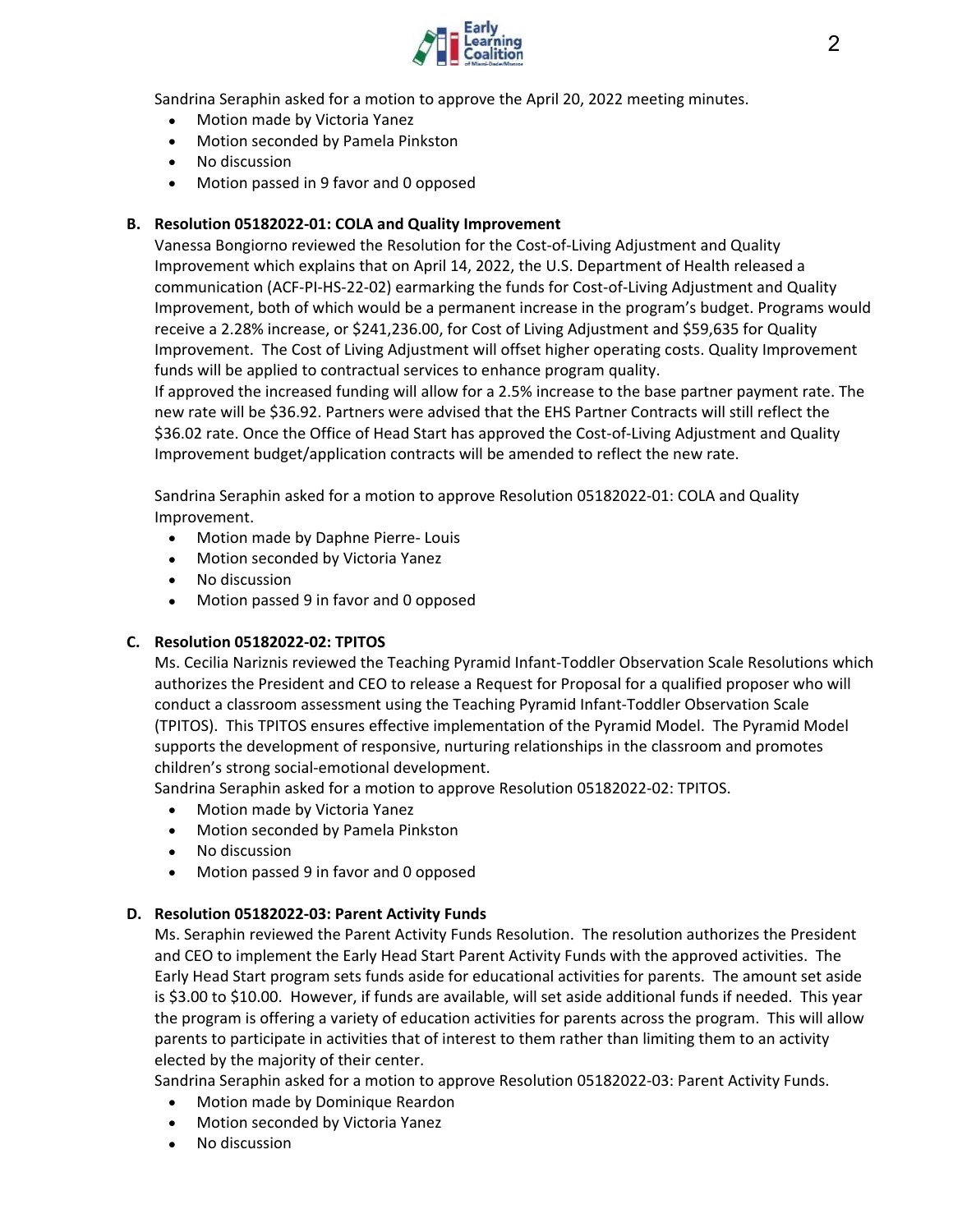

Sandrina Seraphin asked for a motion to approve the April 20, 2022 meeting minutes.

- Motion made by Victoria Yanez
- Motion seconded by Pamela Pinkston
- No discussion
- Motion passed in 9 favor and 0 opposed

#### **B. Resolution 05182022‐01: COLA and Quality Improvement**

Vanessa Bongiorno reviewed the Resolution for the Cost‐of‐Living Adjustment and Quality Improvement which explains that on April 14, 2022, the U.S. Department of Health released a communication (ACF‐PI‐HS‐22‐02) earmarking the funds for Cost‐of‐Living Adjustment and Quality Improvement, both of which would be a permanent increase in the program's budget. Programs would receive a 2.28% increase, or \$241,236.00, for Cost of Living Adjustment and \$59,635 for Quality Improvement. The Cost of Living Adjustment will offset higher operating costs. Quality Improvement funds will be applied to contractual services to enhance program quality.

If approved the increased funding will allow for a 2.5% increase to the base partner payment rate. The new rate will be \$36.92. Partners were advised that the EHS Partner Contracts will still reflect the \$36.02 rate. Once the Office of Head Start has approved the Cost-of-Living Adjustment and Quality Improvement budget/application contracts will be amended to reflect the new rate.

Sandrina Seraphin asked for a motion to approve Resolution 05182022‐01: COLA and Quality Improvement.

- Motion made by Daphne Pierre- Louis
- Motion seconded by Victoria Yanez
- No discussion
- Motion passed 9 in favor and 0 opposed

#### **C. Resolution 05182022‐02: TPITOS**

Ms. Cecilia Nariznis reviewed the Teaching Pyramid Infant‐Toddler Observation Scale Resolutions which authorizes the President and CEO to release a Request for Proposal for a qualified proposer who will conduct a classroom assessment using the Teaching Pyramid Infant‐Toddler Observation Scale (TPITOS). This TPITOS ensures effective implementation of the Pyramid Model. The Pyramid Model supports the development of responsive, nurturing relationships in the classroom and promotes children's strong social‐emotional development.

Sandrina Seraphin asked for a motion to approve Resolution 05182022‐02: TPITOS.

- Motion made by Victoria Yanez
- Motion seconded by Pamela Pinkston
- No discussion
- Motion passed 9 in favor and 0 opposed

#### **D. Resolution 05182022‐03: Parent Activity Funds**

Ms. Seraphin reviewed the Parent Activity Funds Resolution. The resolution authorizes the President and CEO to implement the Early Head Start Parent Activity Funds with the approved activities. The Early Head Start program sets funds aside for educational activities for parents. The amount set aside is \$3.00 to \$10.00. However, if funds are available, will set aside additional funds if needed. This year the program is offering a variety of education activities for parents across the program. This will allow parents to participate in activities that of interest to them rather than limiting them to an activity elected by the majority of their center.

Sandrina Seraphin asked for a motion to approve Resolution 05182022‐03: Parent Activity Funds.

- Motion made by Dominique Reardon
- Motion seconded by Victoria Yanez
- No discussion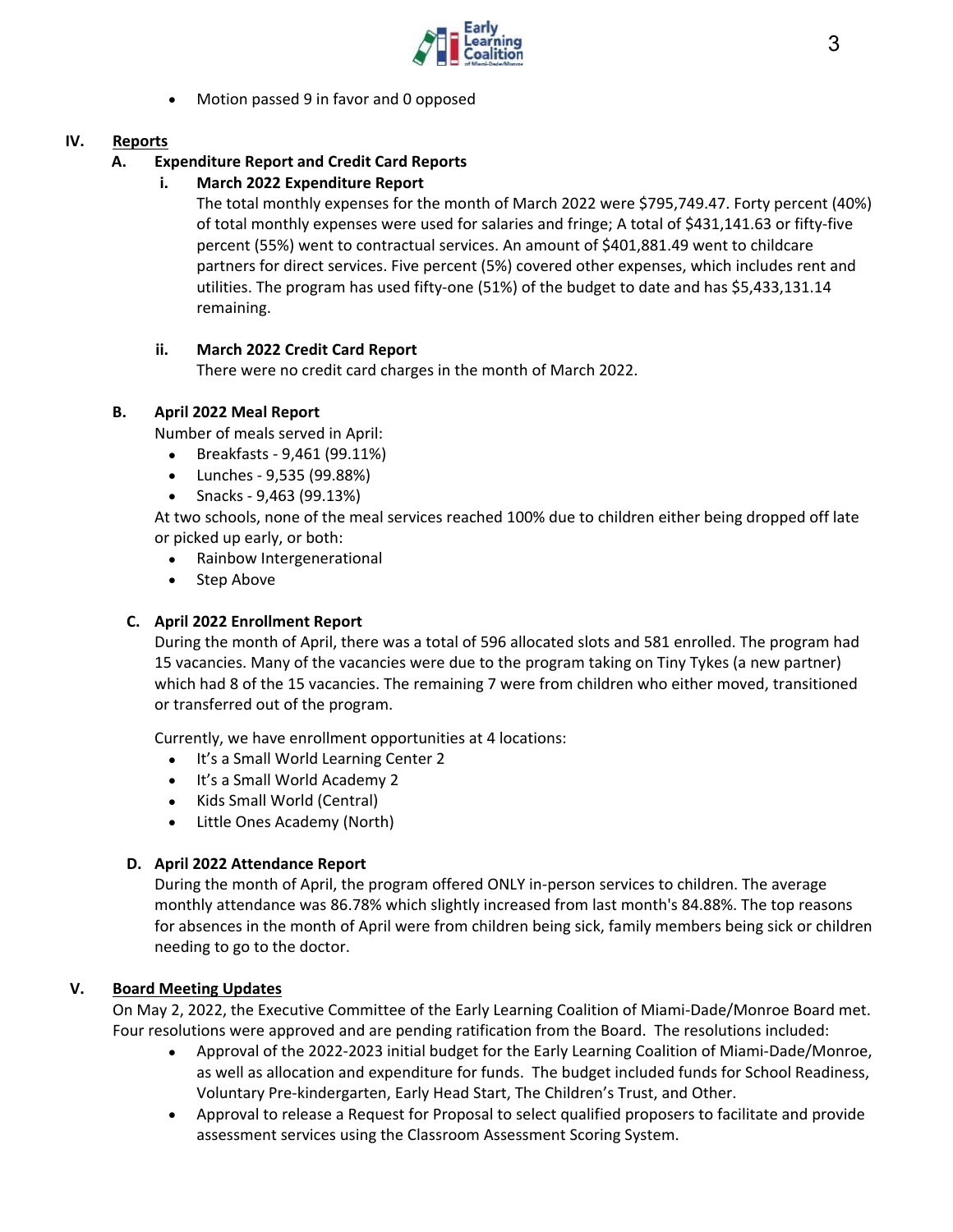

Motion passed 9 in favor and 0 opposed

#### **IV. Reports**

# **A. Expenditure Report and Credit Card Reports**

# **i. March 2022 Expenditure Report**

The total monthly expenses for the month of March 2022 were \$795,749.47. Forty percent (40%) of total monthly expenses were used for salaries and fringe; A total of \$431,141.63 or fifty‐five percent (55%) went to contractual services. An amount of \$401,881.49 went to childcare partners for direct services. Five percent (5%) covered other expenses, which includes rent and utilities. The program has used fifty-one (51%) of the budget to date and has \$5,433,131.14 remaining.

# **ii. March 2022 Credit Card Report**

There were no credit card charges in the month of March 2022.

# **B. April 2022 Meal Report**

Number of meals served in April:

- Breakfasts ‐ 9,461 (99.11%)
- Lunches ‐ 9,535 (99.88%)
- Snacks 9,463 (99.13%)

At two schools, none of the meal services reached 100% due to children either being dropped off late or picked up early, or both:

- Rainbow Intergenerational
- Step Above

# **C. April 2022 Enrollment Report**

During the month of April, there was a total of 596 allocated slots and 581 enrolled. The program had 15 vacancies. Many of the vacancies were due to the program taking on Tiny Tykes (a new partner) which had 8 of the 15 vacancies. The remaining 7 were from children who either moved, transitioned or transferred out of the program.

Currently, we have enrollment opportunities at 4 locations:

- It's a Small World Learning Center 2
- It's a Small World Academy 2
- Kids Small World (Central)
- Little Ones Academy (North)

# **D. April 2022 Attendance Report**

During the month of April, the program offered ONLY in‐person services to children. The average monthly attendance was 86.78% which slightly increased from last month's 84.88%. The top reasons for absences in the month of April were from children being sick, family members being sick or children needing to go to the doctor.

# **V. Board Meeting Updates**

On May 2, 2022, the Executive Committee of the Early Learning Coalition of Miami‐Dade/Monroe Board met. Four resolutions were approved and are pending ratification from the Board. The resolutions included:

- Approval of the 2022‐2023 initial budget for the Early Learning Coalition of Miami‐Dade/Monroe, as well as allocation and expenditure for funds. The budget included funds for School Readiness, Voluntary Pre‐kindergarten, Early Head Start, The Children's Trust, and Other.
- Approval to release a Request for Proposal to select qualified proposers to facilitate and provide assessment services using the Classroom Assessment Scoring System.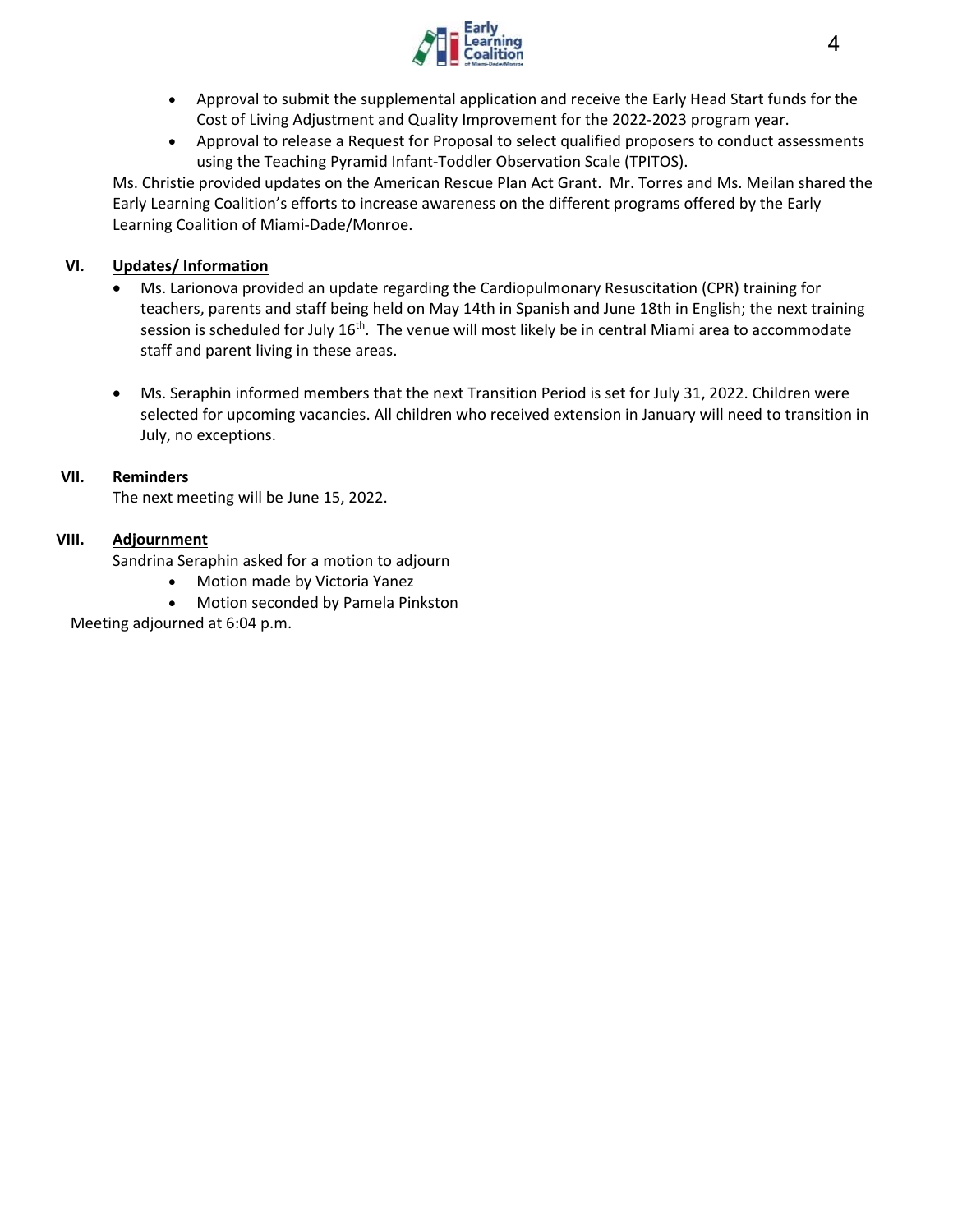

- Approval to submit the supplemental application and receive the Early Head Start funds for the Cost of Living Adjustment and Quality Improvement for the 2022‐2023 program year.
- Approval to release a Request for Proposal to select qualified proposers to conduct assessments using the Teaching Pyramid Infant‐Toddler Observation Scale (TPITOS).

Ms. Christie provided updates on the American Rescue Plan Act Grant. Mr. Torres and Ms. Meilan shared the Early Learning Coalition's efforts to increase awareness on the different programs offered by the Early Learning Coalition of Miami‐Dade/Monroe.

#### **VI. Updates/ Information**

- Ms. Larionova provided an update regarding the Cardiopulmonary Resuscitation (CPR) training for teachers, parents and staff being held on May 14th in Spanish and June 18th in English; the next training session is scheduled for July  $16<sup>th</sup>$ . The venue will most likely be in central Miami area to accommodate staff and parent living in these areas.
- Ms. Seraphin informed members that the next Transition Period is set for July 31, 2022. Children were selected for upcoming vacancies. All children who received extension in January will need to transition in July, no exceptions.

#### **VII. Reminders**

The next meeting will be June 15, 2022.

#### **VIII. Adjournment**

Sandrina Seraphin asked for a motion to adjourn

- Motion made by Victoria Yanez
- Motion seconded by Pamela Pinkston

Meeting adjourned at 6:04 p.m.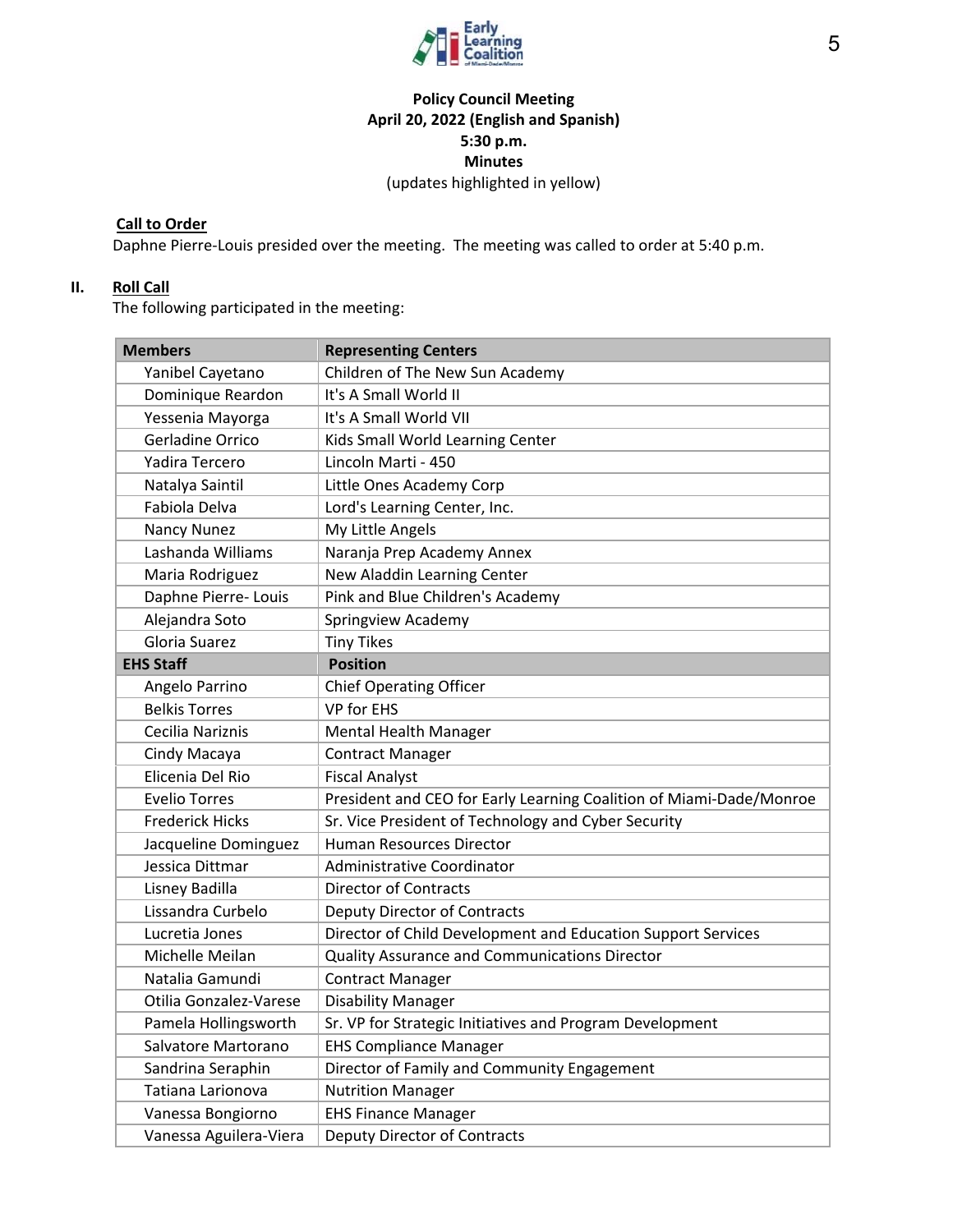

# **Policy Council Meeting April 20, 2022 (English and Spanish) 5:30 p.m. Minutes**  (updates highlighted in yellow)

# **Call to Order**

Daphne Pierre-Louis presided over the meeting. The meeting was called to order at 5:40 p.m.

# **II. Roll Call**

The following participated in the meeting:

| <b>Members</b>         | <b>Representing Centers</b>                                         |
|------------------------|---------------------------------------------------------------------|
| Yanibel Cayetano       | Children of The New Sun Academy                                     |
| Dominique Reardon      | It's A Small World II                                               |
| Yessenia Mayorga       | It's A Small World VII                                              |
| Gerladine Orrico       | Kids Small World Learning Center                                    |
| Yadira Tercero         | Lincoln Marti - 450                                                 |
| Natalya Saintil        | Little Ones Academy Corp                                            |
| Fabiola Delva          | Lord's Learning Center, Inc.                                        |
| <b>Nancy Nunez</b>     | My Little Angels                                                    |
| Lashanda Williams      | Naranja Prep Academy Annex                                          |
| Maria Rodriguez        | New Aladdin Learning Center                                         |
| Daphne Pierre- Louis   | Pink and Blue Children's Academy                                    |
| Alejandra Soto         | Springview Academy                                                  |
| Gloria Suarez          | <b>Tiny Tikes</b>                                                   |
| <b>EHS Staff</b>       | <b>Position</b>                                                     |
| Angelo Parrino         | <b>Chief Operating Officer</b>                                      |
| <b>Belkis Torres</b>   | VP for EHS                                                          |
| Cecilia Nariznis       | <b>Mental Health Manager</b>                                        |
| Cindy Macaya           | <b>Contract Manager</b>                                             |
| Elicenia Del Rio       | <b>Fiscal Analyst</b>                                               |
| <b>Evelio Torres</b>   | President and CEO for Early Learning Coalition of Miami-Dade/Monroe |
| <b>Frederick Hicks</b> | Sr. Vice President of Technology and Cyber Security                 |
| Jacqueline Dominguez   | Human Resources Director                                            |
| Jessica Dittmar        | Administrative Coordinator                                          |
| Lisney Badilla         | <b>Director of Contracts</b>                                        |
| Lissandra Curbelo      | Deputy Director of Contracts                                        |
| Lucretia Jones         | Director of Child Development and Education Support Services        |
| Michelle Meilan        | <b>Quality Assurance and Communications Director</b>                |
| Natalia Gamundi        | <b>Contract Manager</b>                                             |
| Otilia Gonzalez-Varese | <b>Disability Manager</b>                                           |
| Pamela Hollingsworth   | Sr. VP for Strategic Initiatives and Program Development            |
| Salvatore Martorano    | <b>EHS Compliance Manager</b>                                       |
| Sandrina Seraphin      | Director of Family and Community Engagement                         |
| Tatiana Larionova      | <b>Nutrition Manager</b>                                            |
| Vanessa Bongiorno      | <b>EHS Finance Manager</b>                                          |
| Vanessa Aguilera-Viera | <b>Deputy Director of Contracts</b>                                 |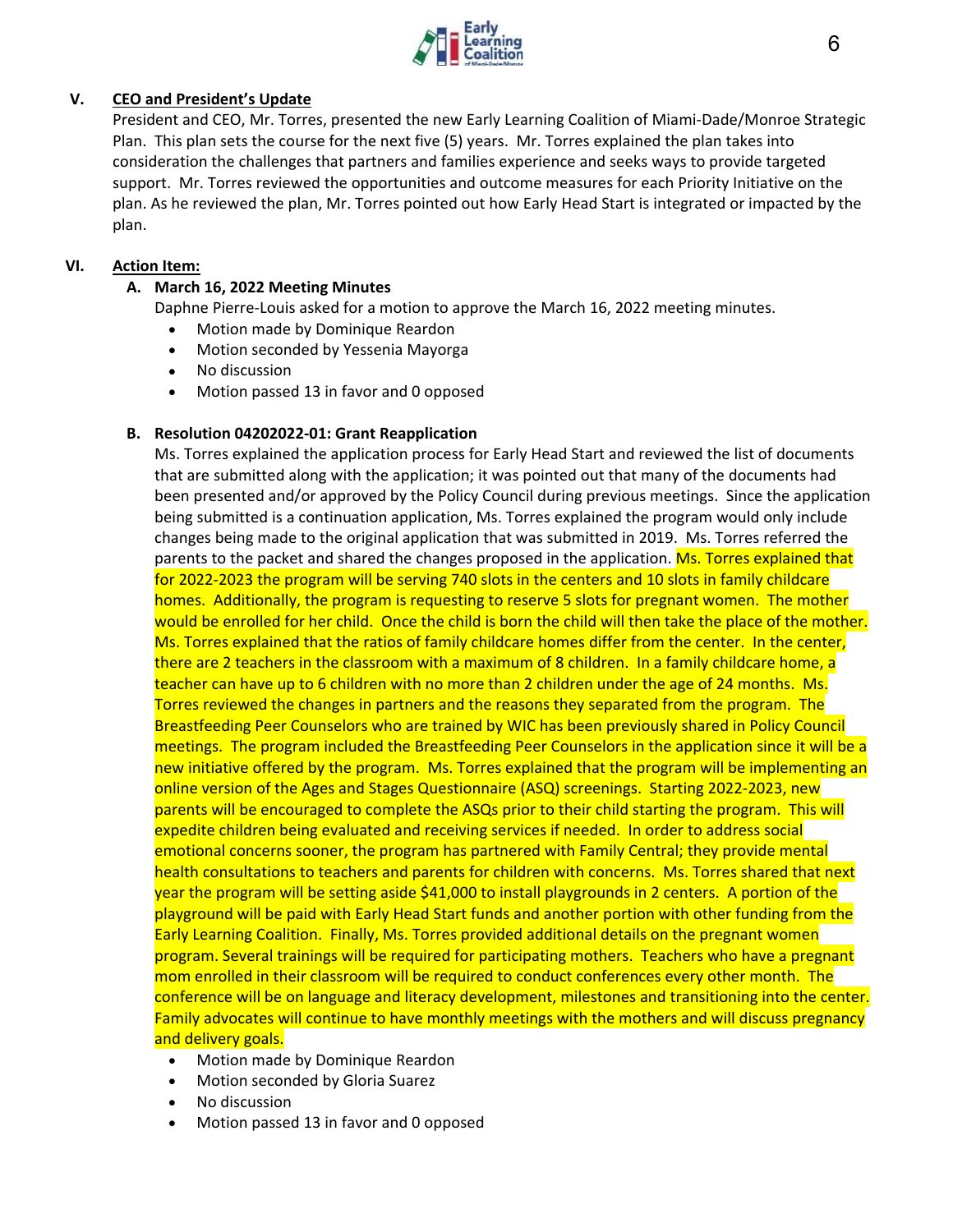

#### **V. CEO and President's Update**

President and CEO, Mr. Torres, presented the new Early Learning Coalition of Miami‐Dade/Monroe Strategic Plan. This plan sets the course for the next five (5) years. Mr. Torres explained the plan takes into consideration the challenges that partners and families experience and seeks ways to provide targeted support. Mr. Torres reviewed the opportunities and outcome measures for each Priority Initiative on the plan. As he reviewed the plan, Mr. Torres pointed out how Early Head Start is integrated or impacted by the plan.

#### **VI. Action Item:**

#### **A. March 16, 2022 Meeting Minutes**

Daphne Pierre‐Louis asked for a motion to approve the March 16, 2022 meeting minutes.

- Motion made by Dominique Reardon
- Motion seconded by Yessenia Mayorga
- No discussion
- Motion passed 13 in favor and 0 opposed

#### **B. Resolution 04202022‐01: Grant Reapplication**

Ms. Torres explained the application process for Early Head Start and reviewed the list of documents that are submitted along with the application; it was pointed out that many of the documents had been presented and/or approved by the Policy Council during previous meetings. Since the application being submitted is a continuation application, Ms. Torres explained the program would only include changes being made to the original application that was submitted in 2019. Ms. Torres referred the parents to the packet and shared the changes proposed in the application. Ms. Torres explained that for 2022‐2023 the program will be serving 740 slots in the centers and 10 slots in family childcare homes. Additionally, the program is requesting to reserve 5 slots for pregnant women. The mother would be enrolled for her child. Once the child is born the child will then take the place of the mother. Ms. Torres explained that the ratios of family childcare homes differ from the center. In the center, there are 2 teachers in the classroom with a maximum of 8 children. In a family childcare home, a teacher can have up to 6 children with no more than 2 children under the age of 24 months. Ms. Torres reviewed the changes in partners and the reasons they separated from the program. The Breastfeeding Peer Counselors who are trained by WIC has been previously shared in Policy Council meetings. The program included the Breastfeeding Peer Counselors in the application since it will be a new initiative offered by the program. Ms. Torres explained that the program will be implementing an online version of the Ages and Stages Questionnaire (ASQ) screenings. Starting 2022‐2023, new parents will be encouraged to complete the ASQs prior to their child starting the program. This will expedite children being evaluated and receiving services if needed. In order to address social emotional concerns sooner, the program has partnered with Family Central; they provide mental health consultations to teachers and parents for children with concerns. Ms. Torres shared that next year the program will be setting aside \$41,000 to install playgrounds in 2 centers. A portion of the playground will be paid with Early Head Start funds and another portion with other funding from the Early Learning Coalition. Finally, Ms. Torres provided additional details on the pregnant women program. Several trainings will be required for participating mothers. Teachers who have a pregnant mom enrolled in their classroom will be required to conduct conferences every other month. The conference will be on language and literacy development, milestones and transitioning into the center. Family advocates will continue to have monthly meetings with the mothers and will discuss pregnancy and delivery goals.

- Motion made by Dominique Reardon
- Motion seconded by Gloria Suarez
- No discussion
- Motion passed 13 in favor and 0 opposed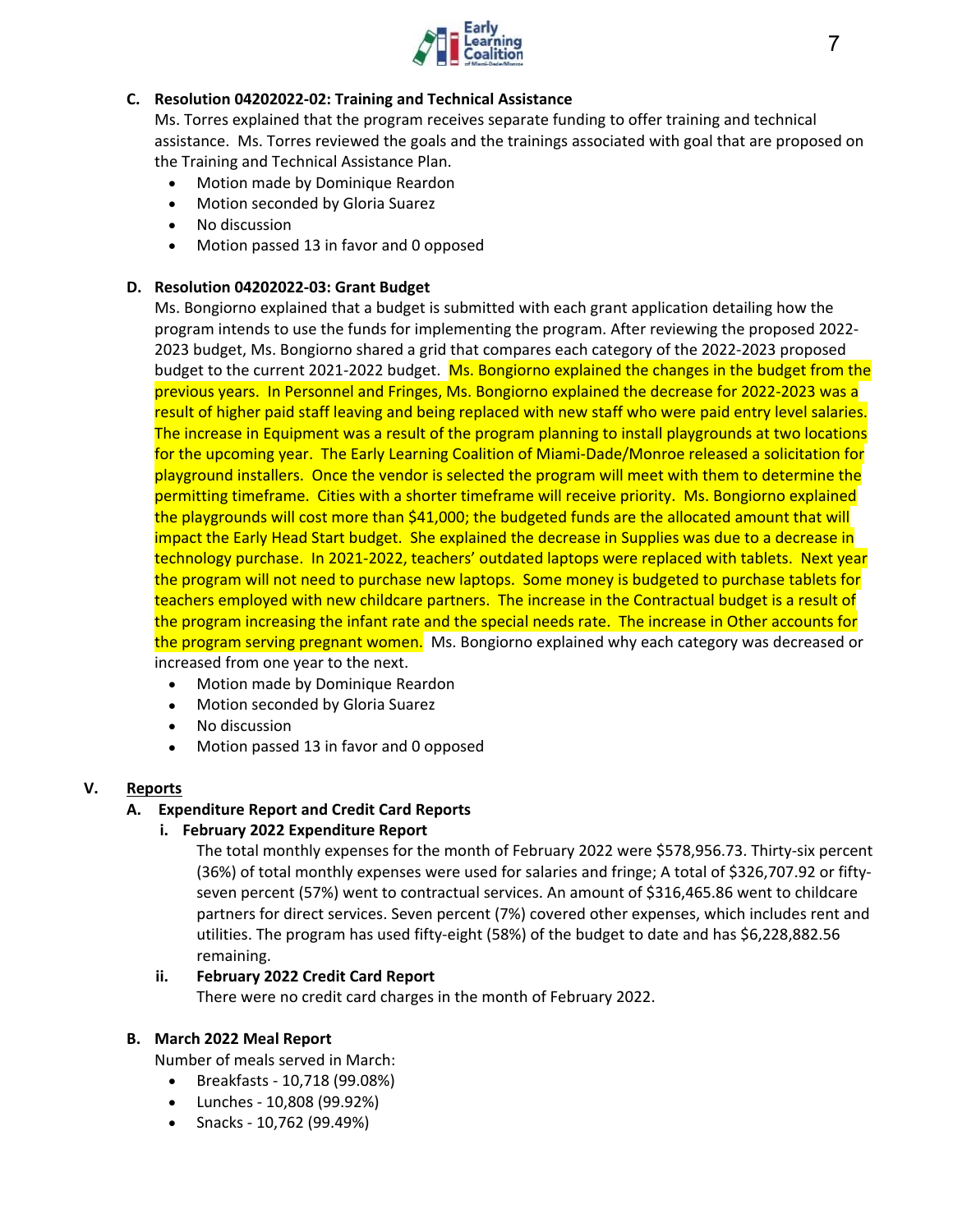

#### **C. Resolution 04202022‐02: Training and Technical Assistance**

Ms. Torres explained that the program receives separate funding to offer training and technical assistance. Ms. Torres reviewed the goals and the trainings associated with goal that are proposed on the Training and Technical Assistance Plan.

- Motion made by Dominique Reardon
- Motion seconded by Gloria Suarez
- No discussion
- Motion passed 13 in favor and 0 opposed

#### **D. Resolution 04202022‐03: Grant Budget**

Ms. Bongiorno explained that a budget is submitted with each grant application detailing how the program intends to use the funds for implementing the program. After reviewing the proposed 2022‐ 2023 budget, Ms. Bongiorno shared a grid that compares each category of the 2022‐2023 proposed budget to the current 2021-2022 budget. Ms. Bongiorno explained the changes in the budget from the previous years. In Personnel and Fringes, Ms. Bongiorno explained the decrease for 2022‐2023 was a result of higher paid staff leaving and being replaced with new staff who were paid entry level salaries. The increase in Equipment was a result of the program planning to install playgrounds at two locations for the upcoming year. The Early Learning Coalition of Miami‐Dade/Monroe released a solicitation for playground installers. Once the vendor is selected the program will meet with them to determine the permitting timeframe. Cities with a shorter timeframe will receive priority. Ms. Bongiorno explained the playgrounds will cost more than \$41,000; the budgeted funds are the allocated amount that will impact the Early Head Start budget. She explained the decrease in Supplies was due to a decrease in technology purchase. In 2021-2022, teachers' outdated laptops were replaced with tablets. Next year the program will not need to purchase new laptops. Some money is budgeted to purchase tablets for teachers employed with new childcare partners. The increase in the Contractual budget is a result of the program increasing the infant rate and the special needs rate. The increase in Other accounts for the program serving pregnant women. Ms. Bongiorno explained why each category was decreased or increased from one year to the next.

- Motion made by Dominique Reardon
- Motion seconded by Gloria Suarez
- No discussion
- Motion passed 13 in favor and 0 opposed

#### **V. Reports**

# **A. Expenditure Report and Credit Card Reports**

#### **i. February 2022 Expenditure Report**

The total monthly expenses for the month of February 2022 were \$578,956.73. Thirty‐six percent (36%) of total monthly expenses were used for salaries and fringe; A total of \$326,707.92 or fifty‐ seven percent (57%) went to contractual services. An amount of \$316,465.86 went to childcare partners for direct services. Seven percent (7%) covered other expenses, which includes rent and utilities. The program has used fifty‐eight (58%) of the budget to date and has \$6,228,882.56 remaining.

#### **ii. February 2022 Credit Card Report**

There were no credit card charges in the month of February 2022.

#### **B. March 2022 Meal Report**

Number of meals served in March:

- Breakfasts ‐ 10,718 (99.08%)
- Lunches ‐ 10,808 (99.92%)
- Snacks ‐ 10,762 (99.49%)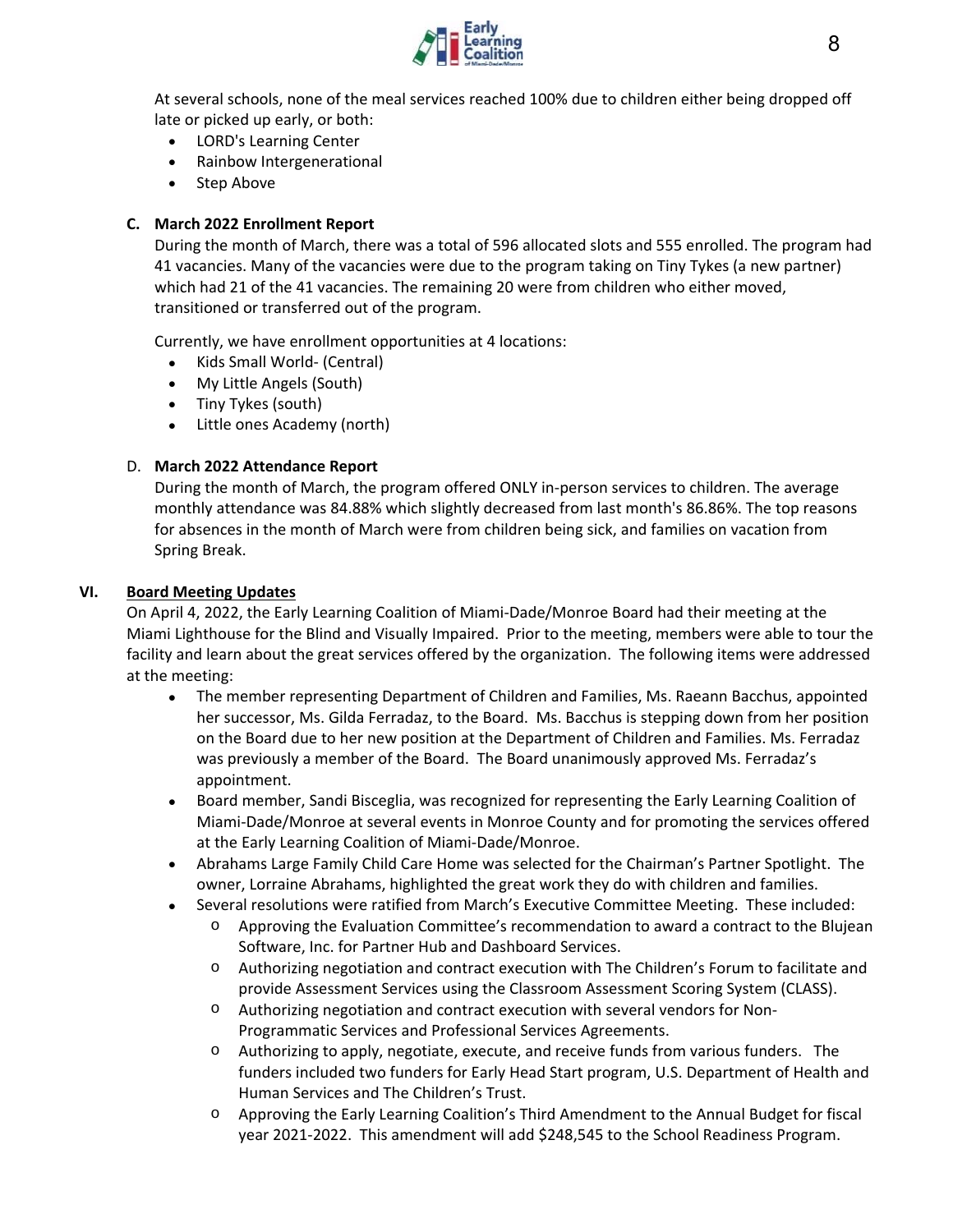

At several schools, none of the meal services reached 100% due to children either being dropped off late or picked up early, or both:

- LORD's Learning Center
- Rainbow Intergenerational
- Step Above

#### **C. March 2022 Enrollment Report**

During the month of March, there was a total of 596 allocated slots and 555 enrolled. The program had 41 vacancies. Many of the vacancies were due to the program taking on Tiny Tykes (a new partner) which had 21 of the 41 vacancies. The remaining 20 were from children who either moved, transitioned or transferred out of the program.

Currently, we have enrollment opportunities at 4 locations:

- Kids Small World- (Central)
- My Little Angels (South)
- Tiny Tykes (south)
- Little ones Academy (north)

#### D. **March 2022 Attendance Report**

During the month of March, the program offered ONLY in-person services to children. The average monthly attendance was 84.88% which slightly decreased from last month's 86.86%. The top reasons for absences in the month of March were from children being sick, and families on vacation from Spring Break.

#### **VI. Board Meeting Updates**

On April 4, 2022, the Early Learning Coalition of Miami‐Dade/Monroe Board had their meeting at the Miami Lighthouse for the Blind and Visually Impaired. Prior to the meeting, members were able to tour the facility and learn about the great services offered by the organization. The following items were addressed at the meeting:

- The member representing Department of Children and Families, Ms. Raeann Bacchus, appointed her successor, Ms. Gilda Ferradaz, to the Board. Ms. Bacchus is stepping down from her position on the Board due to her new position at the Department of Children and Families. Ms. Ferradaz was previously a member of the Board. The Board unanimously approved Ms. Ferradaz's appointment.
- Board member, Sandi Bisceglia, was recognized for representing the Early Learning Coalition of Miami‐Dade/Monroe at several events in Monroe County and for promoting the services offered at the Early Learning Coalition of Miami‐Dade/Monroe.
- Abrahams Large Family Child Care Home was selected for the Chairman's Partner Spotlight. The owner, Lorraine Abrahams, highlighted the great work they do with children and families.
- Several resolutions were ratified from March's Executive Committee Meeting. These included:
	- o Approving the Evaluation Committee's recommendation to award a contract to the Blujean Software, Inc. for Partner Hub and Dashboard Services.
	- o Authorizing negotiation and contract execution with The Children's Forum to facilitate and provide Assessment Services using the Classroom Assessment Scoring System (CLASS).
	- o Authorizing negotiation and contract execution with several vendors for Non‐ Programmatic Services and Professional Services Agreements.
	- o Authorizing to apply, negotiate, execute, and receive funds from various funders. The funders included two funders for Early Head Start program, U.S. Department of Health and Human Services and The Children's Trust.
	- o Approving the Early Learning Coalition's Third Amendment to the Annual Budget for fiscal year 2021‐2022. This amendment will add \$248,545 to the School Readiness Program.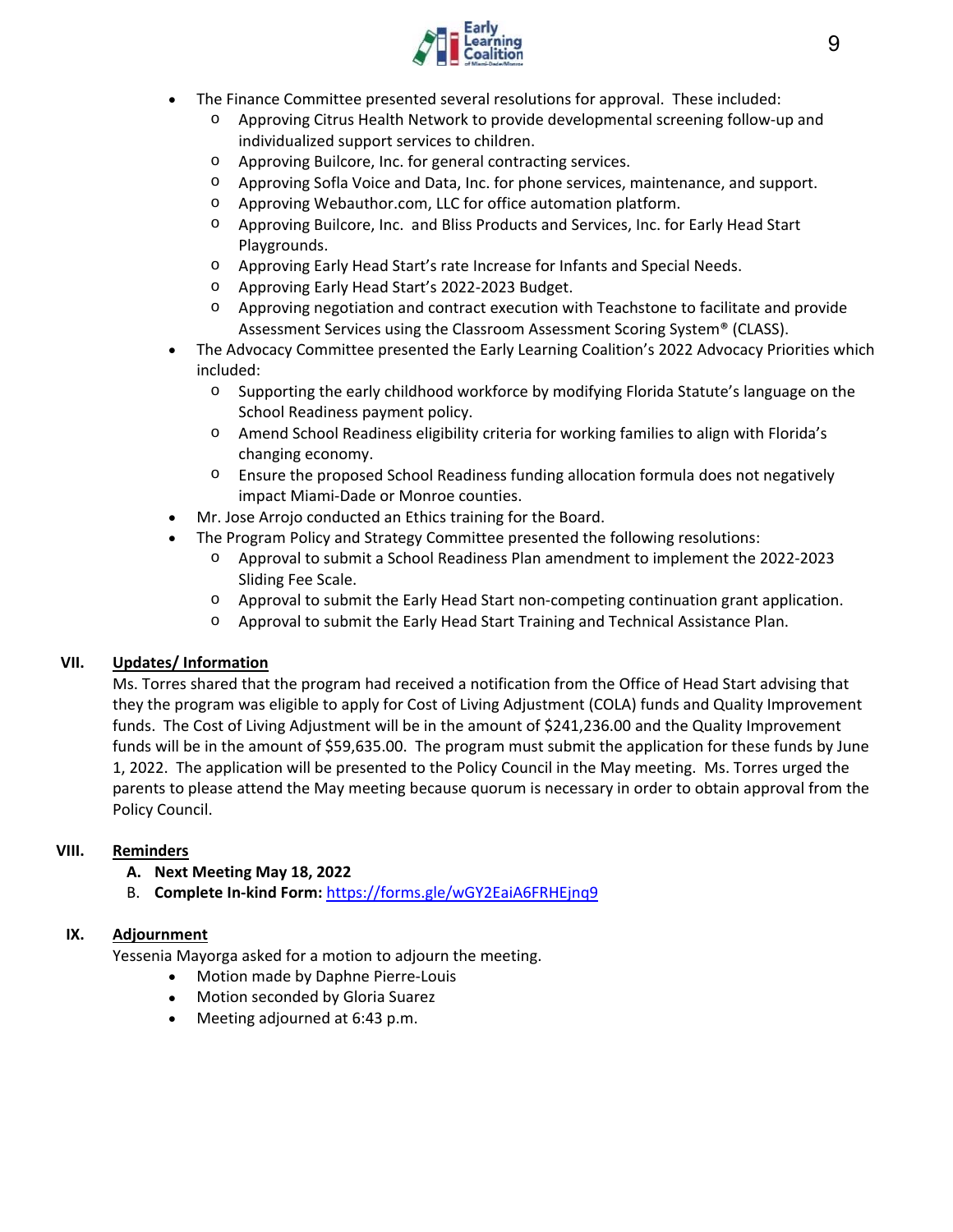

- The Finance Committee presented several resolutions for approval. These included:
	- o Approving Citrus Health Network to provide developmental screening follow‐up and individualized support services to children.
	- o Approving Builcore, Inc. for general contracting services.
	- o Approving Sofla Voice and Data, Inc. for phone services, maintenance, and support.
	- o Approving Webauthor.com, LLC for office automation platform.
	- o Approving Builcore, Inc. and Bliss Products and Services, Inc. for Early Head Start Playgrounds.
	- o Approving Early Head Start's rate Increase for Infants and Special Needs.
	- o Approving Early Head Start's 2022‐2023 Budget.
	- o Approving negotiation and contract execution with Teachstone to facilitate and provide Assessment Services using the Classroom Assessment Scoring System® (CLASS).
- The Advocacy Committee presented the Early Learning Coalition's 2022 Advocacy Priorities which included:
	- o Supporting the early childhood workforce by modifying Florida Statute's language on the School Readiness payment policy.
	- o Amend School Readiness eligibility criteria for working families to align with Florida's changing economy.
	- o Ensure the proposed School Readiness funding allocation formula does not negatively impact Miami‐Dade or Monroe counties.
- Mr. Jose Arrojo conducted an Ethics training for the Board.
- The Program Policy and Strategy Committee presented the following resolutions:
	- o Approval to submit a School Readiness Plan amendment to implement the 2022‐2023 Sliding Fee Scale.
	- o Approval to submit the Early Head Start non‐competing continuation grant application.
	- o Approval to submit the Early Head Start Training and Technical Assistance Plan.

#### **VII. Updates/ Information**

Ms. Torres shared that the program had received a notification from the Office of Head Start advising that they the program was eligible to apply for Cost of Living Adjustment (COLA) funds and Quality Improvement funds. The Cost of Living Adjustment will be in the amount of \$241,236.00 and the Quality Improvement funds will be in the amount of \$59,635.00. The program must submit the application for these funds by June 1, 2022. The application will be presented to the Policy Council in the May meeting. Ms. Torres urged the parents to please attend the May meeting because quorum is necessary in order to obtain approval from the Policy Council.

#### **VIII. Reminders**

- **A. Next Meeting May 18, 2022**
- B. **Complete In‐kind Form:** https://forms.gle/wGY2EaiA6FRHEjnq9

#### **IX. Adjournment**

Yessenia Mayorga asked for a motion to adjourn the meeting.

- Motion made by Daphne Pierre-Louis
- Motion seconded by Gloria Suarez
- Meeting adjourned at 6:43 p.m.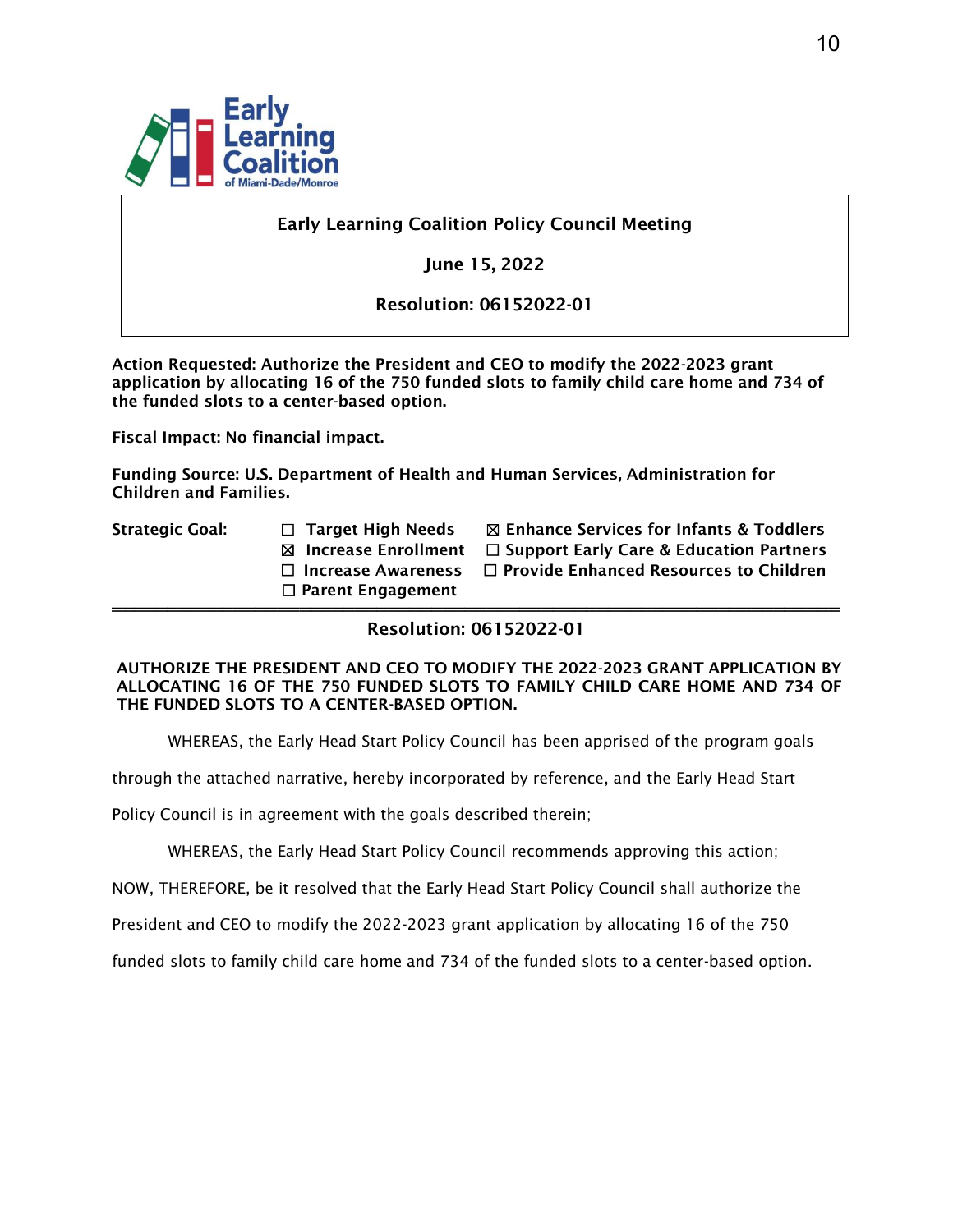

# Early Learning Coalition Policy Council Meeting

June 15, 2022

Resolution: 06152022-01

Action Requested: Authorize the President and CEO to modify the 2022-2023 grant application by allocating 16 of the 750 funded slots to family child care home and 734 of the funded slots to a center-based option.

Fiscal Impact: No financial impact.

Funding Source: U.S. Department of Health and Human Services, Administration for Children and Families.

- 
- ☐ Parent Engagement
- ══════════════════════════════════════════════════════════════════

Strategic Goal:  $□$  Target High Needs  $□$  Enhance Services for Infants & Toddlers ☒ Increase Enrollment ☐ Support Early Care & Education Partners ☐ Increase Awareness ☐ Provide Enhanced Resources to Children

# Resolution: 06152022-01

AUTHORIZE THE PRESIDENT AND CEO TO MODIFY THE 2022-2023 GRANT APPLICATION BY ALLOCATING 16 OF THE 750 FUNDED SLOTS TO FAMILY CHILD CARE HOME AND 734 OF THE FUNDED SLOTS TO A CENTER-BASED OPTION.

WHEREAS, the Early Head Start Policy Council has been apprised of the program goals

through the attached narrative, hereby incorporated by reference, and the Early Head Start

Policy Council is in agreement with the goals described therein;

WHEREAS, the Early Head Start Policy Council recommends approving this action;

NOW, THEREFORE, be it resolved that the Early Head Start Policy Council shall authorize the

President and CEO to modify the 2022-2023 grant application by allocating 16 of the 750

funded slots to family child care home and 734 of the funded slots to a center-based option.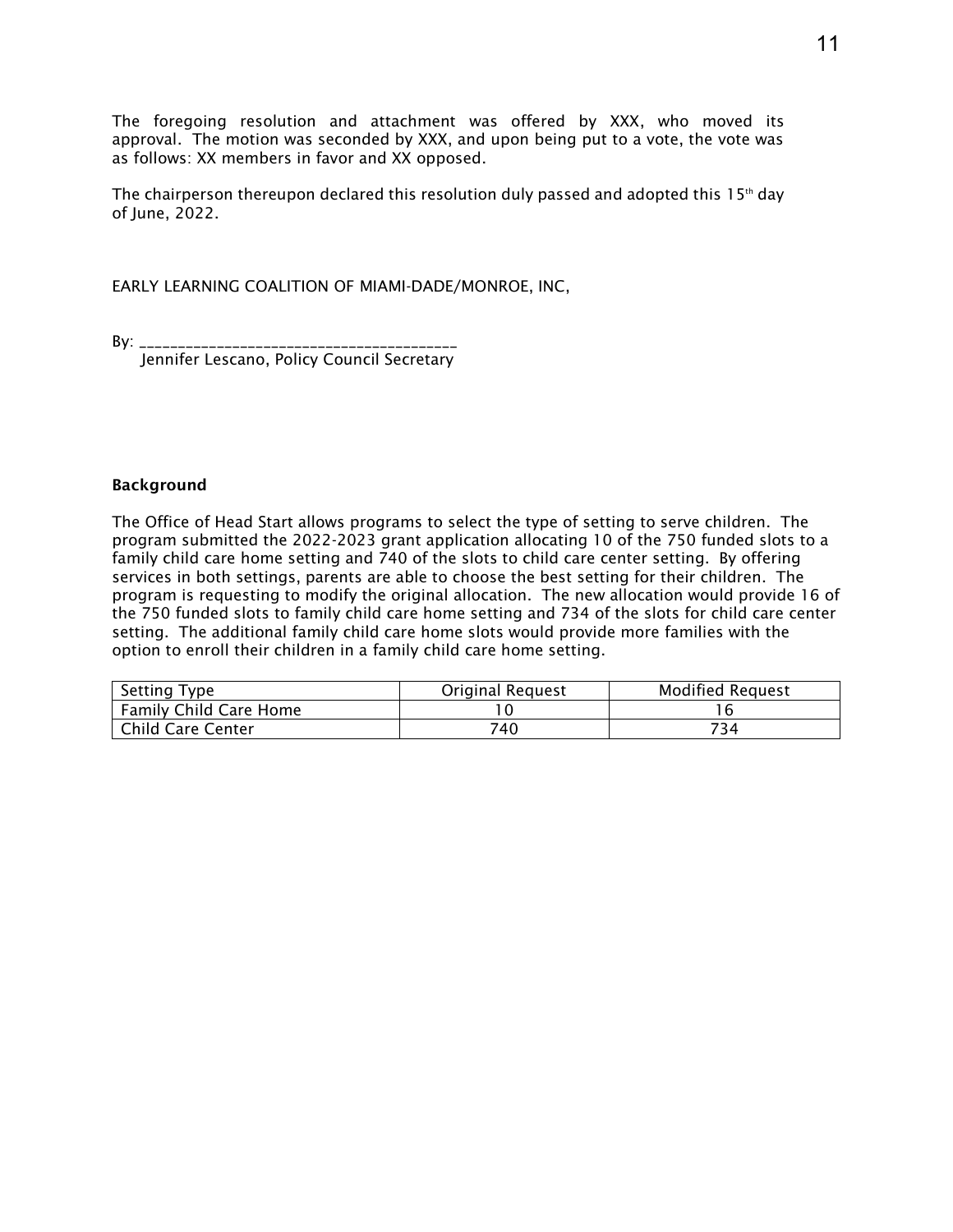The foregoing resolution and attachment was offered by XXX, who moved its approval. The motion was seconded by XXX, and upon being put to a vote, the vote was as follows: XX members in favor and XX opposed.

The chairperson thereupon declared this resolution duly passed and adopted this  $15<sup>th</sup>$  day of June, 2022.

EARLY LEARNING COALITION OF MIAMI-DADE/MONROE, INC,

By: \_\_\_\_\_\_\_\_\_\_\_\_\_\_\_\_\_\_\_\_\_\_\_\_\_\_\_\_\_\_\_\_\_\_\_\_\_\_\_\_\_

Jennifer Lescano, Policy Council Secretary

#### Background

The Office of Head Start allows programs to select the type of setting to serve children. The program submitted the 2022-2023 grant application allocating 10 of the 750 funded slots to a family child care home setting and 740 of the slots to child care center setting. By offering services in both settings, parents are able to choose the best setting for their children. The program is requesting to modify the original allocation. The new allocation would provide 16 of the 750 funded slots to family child care home setting and 734 of the slots for child care center setting. The additional family child care home slots would provide more families with the option to enroll their children in a family child care home setting.

| <b>Setting Type</b>           | <b>Original Request</b> | <b>Modified Request</b> |
|-------------------------------|-------------------------|-------------------------|
| <b>Family Child Care Home</b> |                         |                         |
| <b>Child Care Center</b>      | 740                     | 734                     |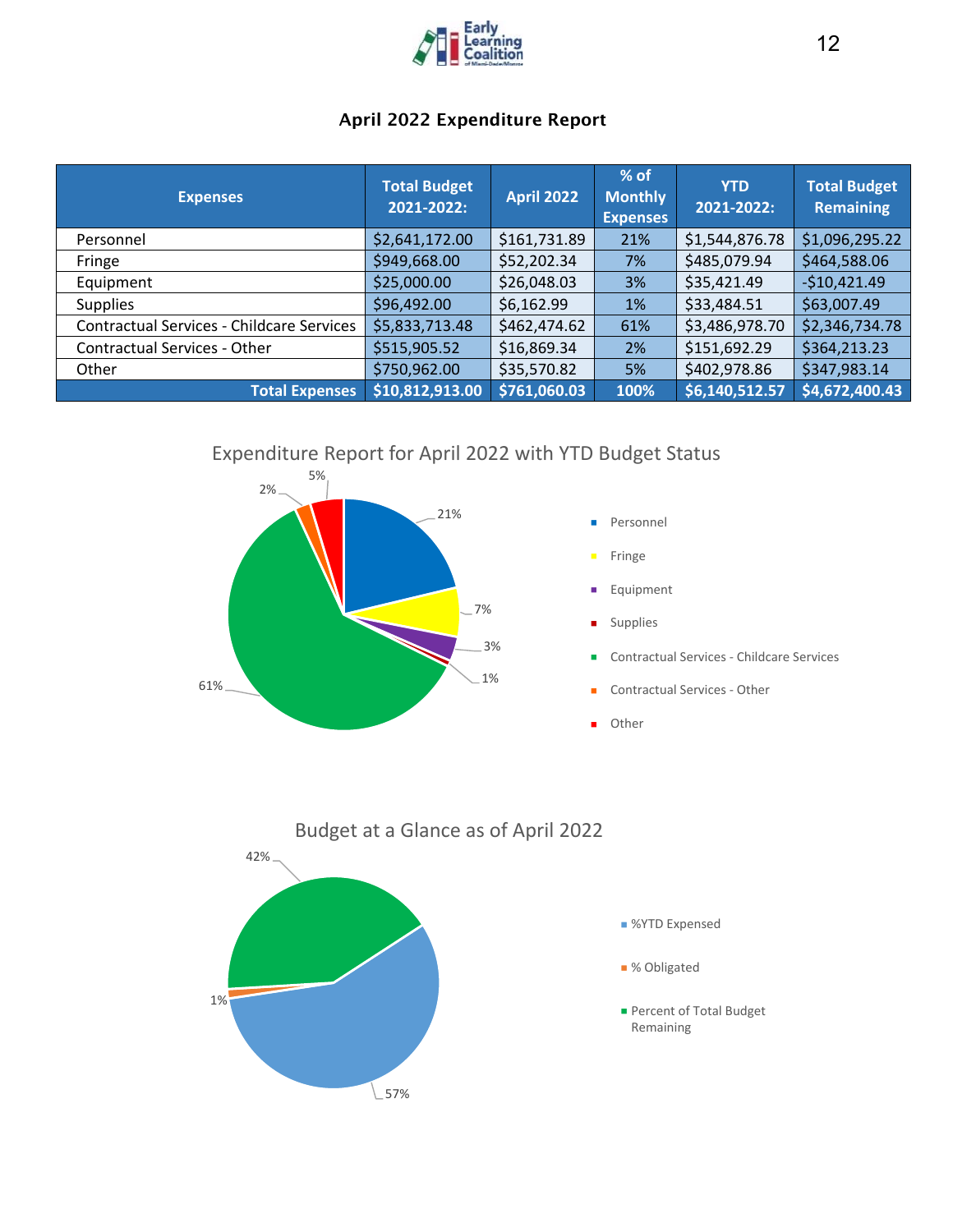

# April 2022 Expenditure Report

| <b>Expenses</b>                                  | <b>Total Budget</b><br>2021-2022: | <b>April 2022</b> | $%$ of<br><b>Monthly</b><br><b>Expenses</b> | <b>YTD</b><br>2021-2022: | <b>Total Budget</b><br><b>Remaining</b> |
|--------------------------------------------------|-----------------------------------|-------------------|---------------------------------------------|--------------------------|-----------------------------------------|
| Personnel                                        | \$2,641,172.00                    | \$161,731.89      | 21%                                         | \$1,544,876.78           | \$1,096,295.22                          |
| Fringe                                           | \$949,668.00                      | \$52,202.34       | 7%                                          | \$485,079.94             | \$464,588.06                            |
| Equipment                                        | \$25,000.00                       | \$26,048.03       | 3%                                          | \$35,421.49              | $-$10,421.49$                           |
| <b>Supplies</b>                                  | \$96,492.00                       | \$6,162.99        | 1%                                          | \$33,484.51              | \$63,007.49                             |
| <b>Contractual Services - Childcare Services</b> | \$5,833,713.48                    | \$462,474.62      | 61%                                         | \$3,486,978.70           | \$2,346,734.78                          |
| <b>Contractual Services - Other</b>              | \$515,905.52                      | \$16,869.34       | 2%                                          | \$151,692.29             | \$364,213.23                            |
| Other                                            | \$750,962.00                      | \$35,570.82       | 5%                                          | \$402,978.86             | \$347,983.14                            |
| <b>Total Expenses</b>                            | \$10,812,913.00                   | \$761,060.03      | 100%                                        | \$6,140,512.57           | \$4,672,400.43                          |

Expenditure Report for April 2022 with YTD Budget Status





- Fringe
- Equipment  $\blacksquare$
- Supplies Ē.
- Contractual Services ‐ Childcare Services
- Contractual Services ‐ Other  $\blacksquare$
- ä, Other

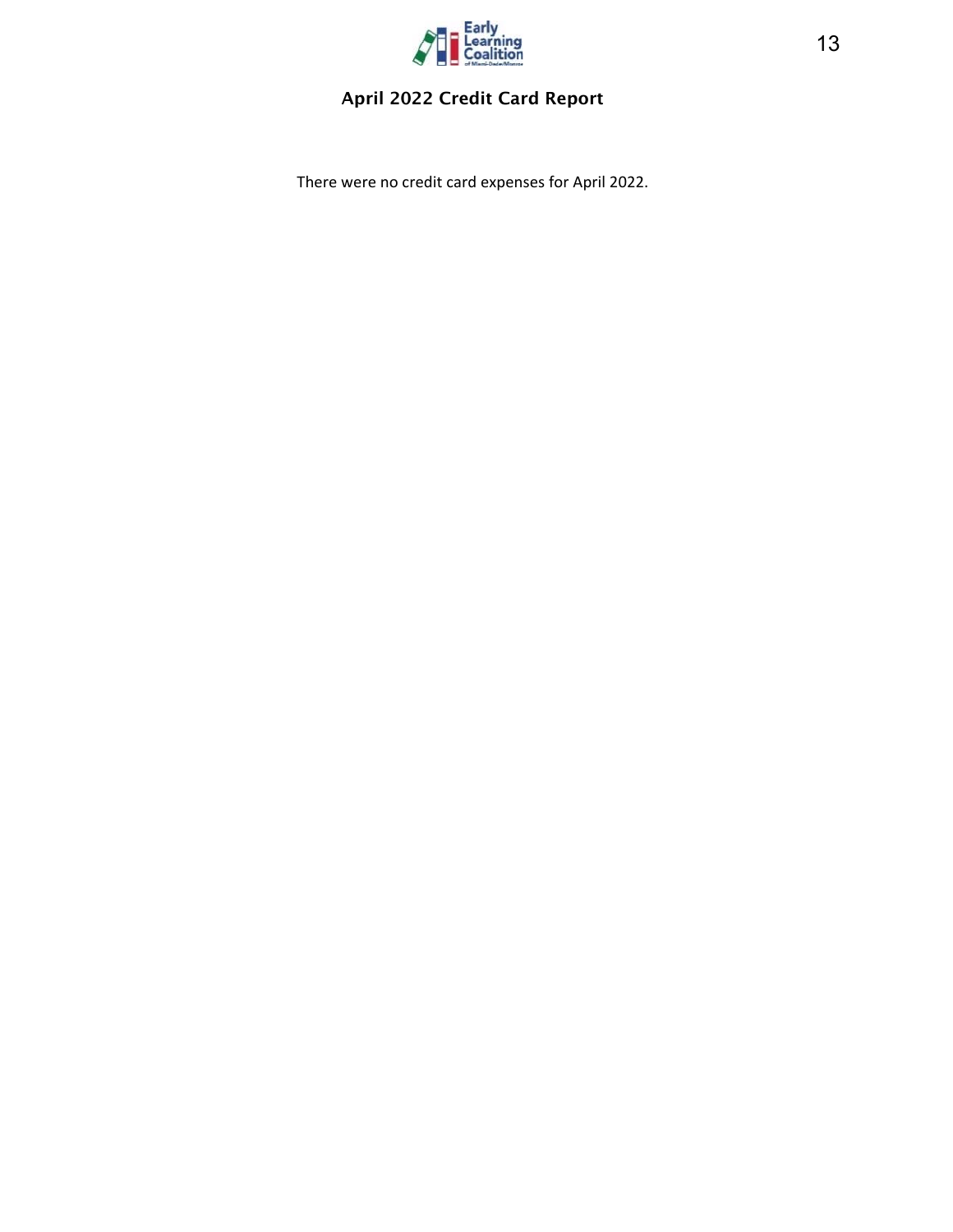

# April 2022 Credit Card Report

There were no credit card expenses for April 2022.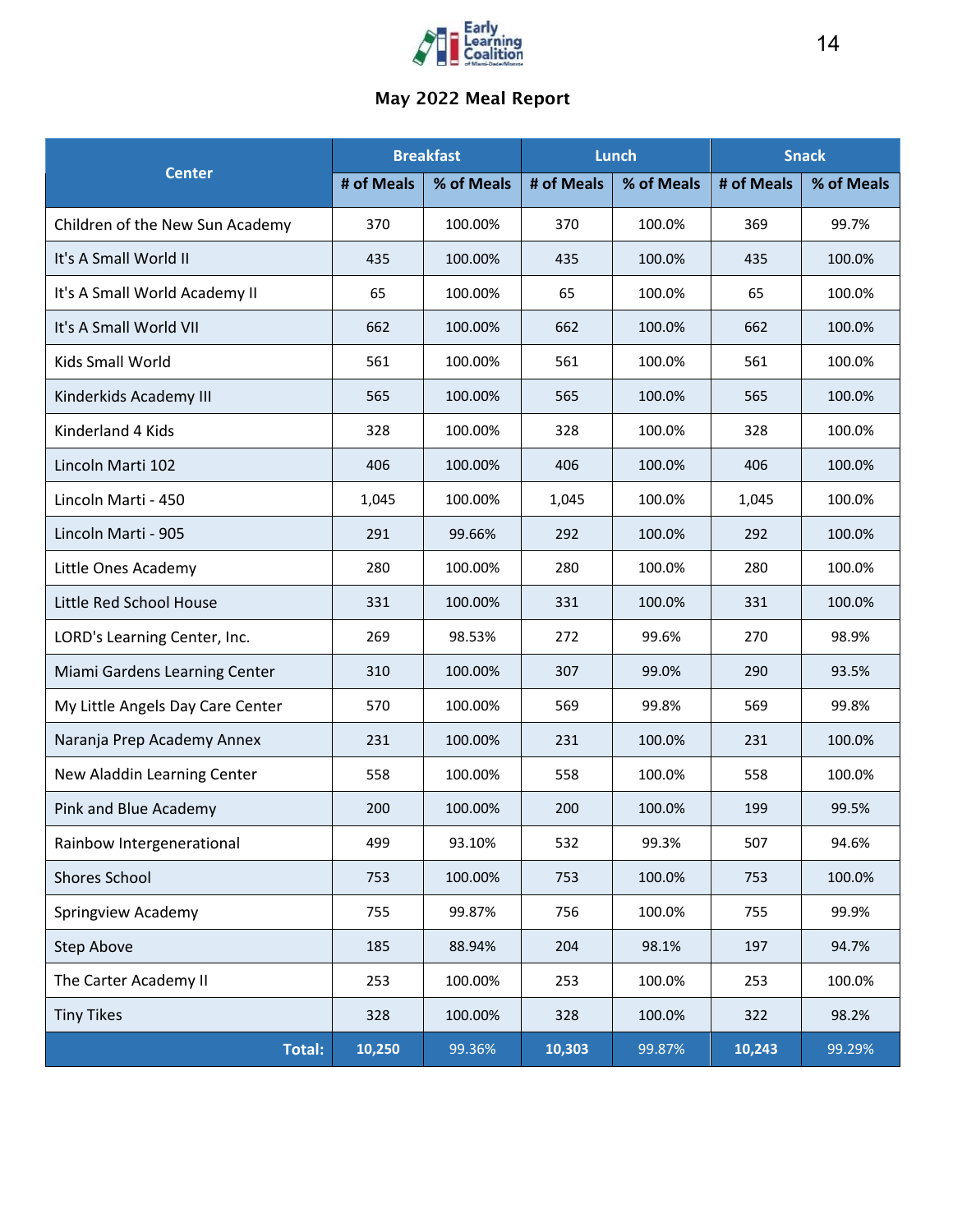

# May 2022 Meal Report

|                                  | <b>Breakfast</b> |            | Lunch      |            | <b>Snack</b> |            |
|----------------------------------|------------------|------------|------------|------------|--------------|------------|
| <b>Center</b>                    | # of Meals       | % of Meals | # of Meals | % of Meals | # of Meals   | % of Meals |
| Children of the New Sun Academy  | 370              | 100.00%    | 370        | 100.0%     | 369          | 99.7%      |
| It's A Small World II            | 435              | 100.00%    | 435        | 100.0%     | 435          | 100.0%     |
| It's A Small World Academy II    | 65               | 100.00%    | 65         | 100.0%     | 65           | 100.0%     |
| It's A Small World VII           | 662              | 100.00%    | 662        | 100.0%     | 662          | 100.0%     |
| Kids Small World                 | 561              | 100.00%    | 561        | 100.0%     | 561          | 100.0%     |
| Kinderkids Academy III           | 565              | 100.00%    | 565        | 100.0%     | 565          | 100.0%     |
| Kinderland 4 Kids                | 328              | 100.00%    | 328        | 100.0%     | 328          | 100.0%     |
| Lincoln Marti 102                | 406              | 100.00%    | 406        | 100.0%     | 406          | 100.0%     |
| Lincoln Marti - 450              | 1,045            | 100.00%    | 1,045      | 100.0%     | 1,045        | 100.0%     |
| Lincoln Marti - 905              | 291              | 99.66%     | 292        | 100.0%     | 292          | 100.0%     |
| Little Ones Academy              | 280              | 100.00%    | 280        | 100.0%     | 280          | 100.0%     |
| Little Red School House          | 331              | 100.00%    | 331        | 100.0%     | 331          | 100.0%     |
| LORD's Learning Center, Inc.     | 269              | 98.53%     | 272        | 99.6%      | 270          | 98.9%      |
| Miami Gardens Learning Center    | 310              | 100.00%    | 307        | 99.0%      | 290          | 93.5%      |
| My Little Angels Day Care Center | 570              | 100.00%    | 569        | 99.8%      | 569          | 99.8%      |
| Naranja Prep Academy Annex       | 231              | 100.00%    | 231        | 100.0%     | 231          | 100.0%     |
| New Aladdin Learning Center      | 558              | 100.00%    | 558        | 100.0%     | 558          | 100.0%     |
| Pink and Blue Academy            | 200              | 100.00%    | 200        | 100.0%     | 199          | 99.5%      |
| Rainbow Intergenerational        | 499              | 93.10%     | 532        | 99.3%      | 507          | 94.6%      |
| <b>Shores School</b>             | 753              | 100.00%    | 753        | 100.0%     | 753          | 100.0%     |
| Springview Academy               | 755              | 99.87%     | 756        | 100.0%     | 755          | 99.9%      |
| <b>Step Above</b>                | 185              | 88.94%     | 204        | 98.1%      | 197          | 94.7%      |
| The Carter Academy II            | 253              | 100.00%    | 253        | 100.0%     | 253          | 100.0%     |
| <b>Tiny Tikes</b>                | 328              | 100.00%    | 328        | 100.0%     | 322          | 98.2%      |
| Total:                           | 10,250           | 99.36%     | 10,303     | 99.87%     | 10,243       | 99.29%     |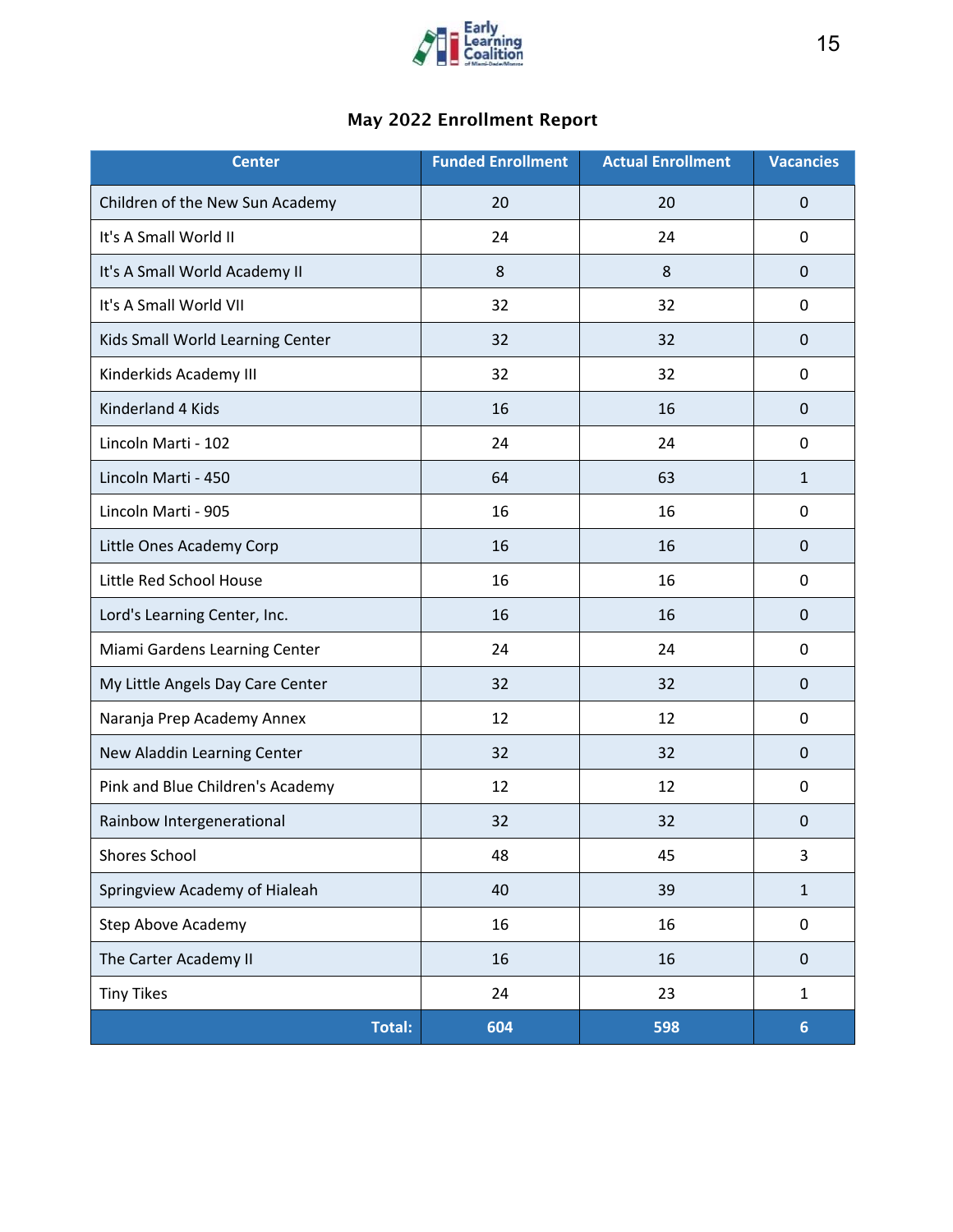

# May 2022 Enrollment Report

| <b>Center</b>                    | <b>Funded Enrollment</b> | <b>Actual Enrollment</b> | <b>Vacancies</b> |
|----------------------------------|--------------------------|--------------------------|------------------|
| Children of the New Sun Academy  | 20                       | 20                       | $\mathbf 0$      |
| It's A Small World II            | 24                       | 24                       | 0                |
| It's A Small World Academy II    | 8                        | 8                        | 0                |
| It's A Small World VII           | 32                       | 32                       | 0                |
| Kids Small World Learning Center | 32                       | 32                       | 0                |
| Kinderkids Academy III           | 32                       | 32                       | 0                |
| Kinderland 4 Kids                | 16                       | 16                       | $\mathbf 0$      |
| Lincoln Marti - 102              | 24                       | 24                       | 0                |
| Lincoln Marti - 450              | 64                       | 63                       | $\mathbf{1}$     |
| Lincoln Marti - 905              | 16                       | 16                       | 0                |
| Little Ones Academy Corp         | 16                       | 16                       | 0                |
| Little Red School House          | 16                       | 16                       | 0                |
| Lord's Learning Center, Inc.     | 16                       | 16                       | 0                |
| Miami Gardens Learning Center    | 24                       | 24                       | 0                |
| My Little Angels Day Care Center | 32                       | 32                       | $\Omega$         |
| Naranja Prep Academy Annex       | 12                       | 12                       | 0                |
| New Aladdin Learning Center      | 32                       | 32                       | 0                |
| Pink and Blue Children's Academy | 12                       | 12                       | 0                |
| Rainbow Intergenerational        | 32                       | 32                       | 0                |
| Shores School                    | 48                       | 45                       | 3                |
| Springview Academy of Hialeah    | 40                       | 39                       | $\mathbf{1}$     |
| Step Above Academy               | 16                       | 16                       | 0                |
| The Carter Academy II            | 16                       | 16                       | $\pmb{0}$        |
| <b>Tiny Tikes</b>                | 24                       | 23                       | $\mathbf{1}$     |
| <b>Total:</b>                    | 604                      | 598                      | $6\phantom{1}$   |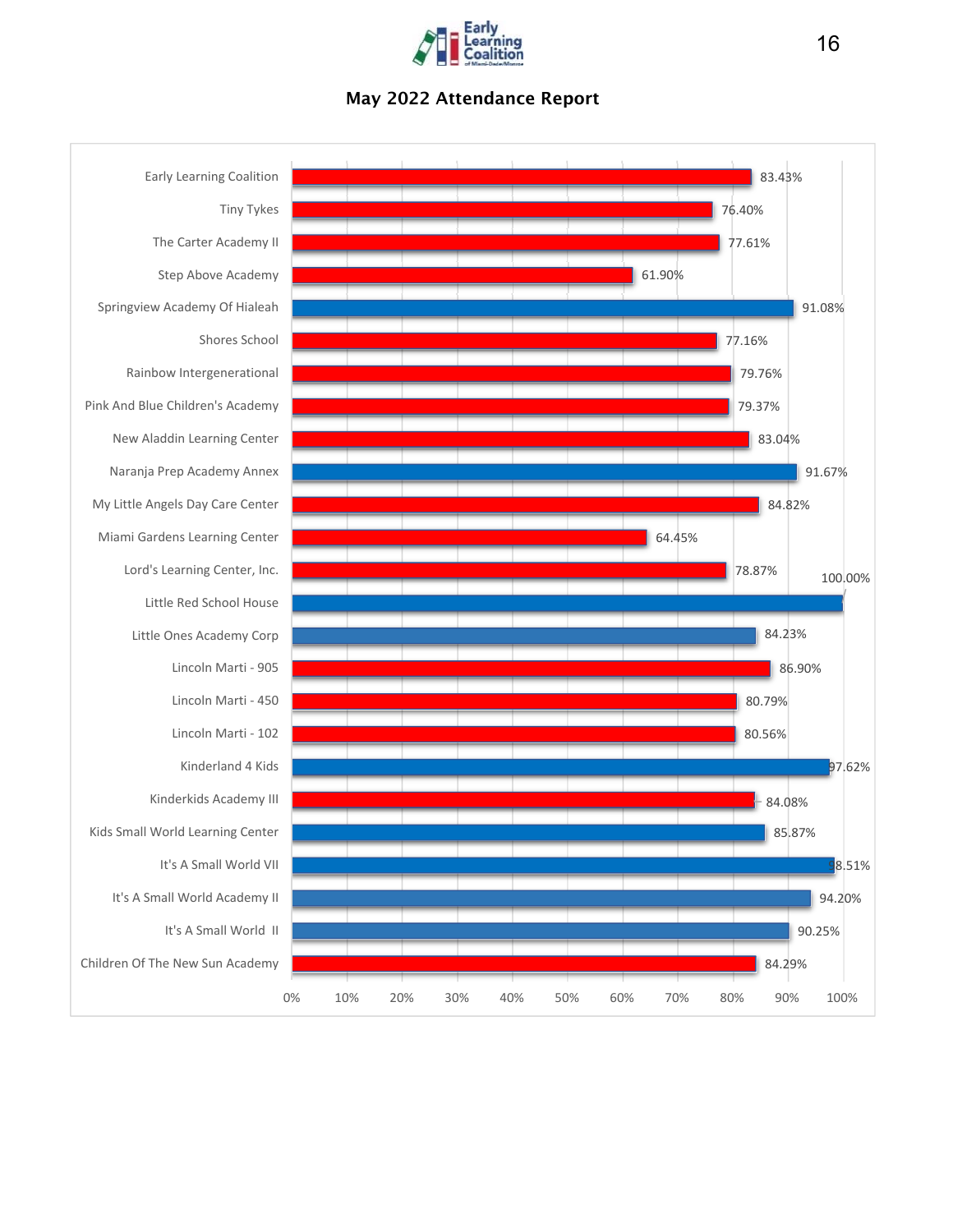

# May 2022 Attendance Report